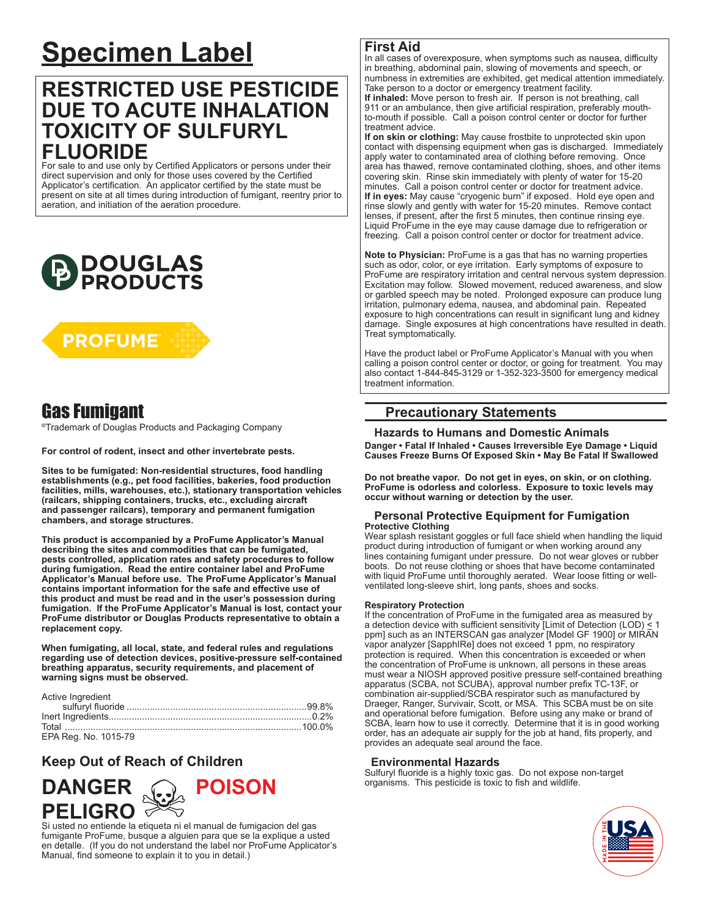# **Specimen Label**

# **RESTRICTED USE PESTICIDE DUE TO ACUTE INHALATION TOXICITY OF SULFURYL FLUORIDE**

For sale to and use only by Certified Applicators or persons under their direct supervision and only for those uses covered by the Certified Applicator's certification. An applicator certified by the state must be present on site at all times during introduction of fumigant, reentry prior to aeration, and initiation of the aeration procedure.





## Gas Fumigant

®Trademark of Douglas Products and Packaging Company

**For control of rodent, insect and other invertebrate pests.** 

**Sites to be fumigated: Non-residential structures, food handling establishments (e.g., pet food facilities, bakeries, food production facilities, mills, warehouses, etc.), stationary transportation vehicles (railcars, shipping containers, trucks, etc., excluding aircraft and passenger railcars), temporary and permanent fumigation chambers, and storage structures.** 

**This product is accompanied by a ProFume Applicator's Manual describing the sites and commodities that can be fumigated, pests controlled, application rates and safety procedures to follow during fumigation. Read the entire container label and ProFume Applicator's Manual before use. The ProFume Applicator's Manual contains important information for the safe and effective use of this product and must be read and in the user's possession during fumigation. If the ProFume Applicator's Manual is lost, contact your ProFume distributor or Douglas Products representative to obtain a replacement copy.**

**When fumigating, all local, state, and federal rules and regulations regarding use of detection devices, positive-pressure self-contained breathing apparatus, security requirements, and placement of warning signs must be observed.**

| Active Ingredient    |  |
|----------------------|--|
|                      |  |
|                      |  |
|                      |  |
| EPA Reg. No. 1015-79 |  |

## **Keep Out of Reach of Children**



Si usted no entiende la etiqueta ni el manual de fumigacion del gas fumigante ProFume, busque a alguien para que se la explique a usted en detalle. (If you do not understand the label nor ProFume Applicator's Manual, find someone to explain it to you in detail.)

#### **First Aid**

In all cases of overexposure, when symptoms such as nausea, difficulty in breathing, abdominal pain, slowing of movements and speech, or numbness in extremities are exhibited, get medical attention immediately. Take person to a doctor or emergency treatment facility. **If inhaled:** Move person to fresh air. If person is not breathing, call

911 or an ambulance, then give artificial respiration, preferably mouthto-mouth if possible. Call a poison control center or doctor for further treatment advice.

**If on skin or clothing:** May cause frostbite to unprotected skin upon contact with dispensing equipment when gas is discharged. Immediately apply water to contaminated area of clothing before removing. Once area has thawed, remove contaminated clothing, shoes, and other items covering skin. Rinse skin immediately with plenty of water for 15-20 minutes. Call a poison control center or doctor for treatment advice. **If in eyes:** May cause "cryogenic burn" if exposed. Hold eye open and rinse slowly and gently with water for 15-20 minutes. Remove contact lenses, if present, after the first 5 minutes, then continue rinsing eye. Liquid ProFume in the eye may cause damage due to refrigeration or freezing. Call a poison control center or doctor for treatment advice.

**Note to Physician:** ProFume is a gas that has no warning properties such as odor, color, or eye irritation. Early symptoms of exposure to ProFume are respiratory irritation and central nervous system depression. Excitation may follow. Slowed movement, reduced awareness, and slow or garbled speech may be noted. Prolonged exposure can produce lung irritation, pulmonary edema, nausea, and abdominal pain. Repeated exposure to high concentrations can result in significant lung and kidney damage. Single exposures at high concentrations have resulted in death. Treat symptomatically.

Have the product label or ProFume Applicator's Manual with you when calling a poison control center or doctor, or going for treatment. You may also contact 1-844-845-3129 or 1-352-323-3500 for emergency medical treatment information.

## **Precautionary Statements**

 **Hazards to Humans and Domestic Animals Danger • Fatal If Inhaled • Causes Irreversible Eye Damage • Liquid Causes Freeze Burns Of Exposed Skin • May Be Fatal If Swallowed**

**Do not breathe vapor. Do not get in eyes, on skin, or on clothing. ProFume is odorless and colorless. Exposure to toxic levels may occur without warning or detection by the user.** 

#### **Personal Protective Equipment for Fumigation Protective Clothing**

Wear splash resistant goggles or full face shield when handling the liquid product during introduction of fumigant or when working around any lines containing fumigant under pressure. Do not wear gloves or rubber boots. Do not reuse clothing or shoes that have become contaminated with liquid ProFume until thoroughly aerated. Wear loose fitting or wellventilated long-sleeve shirt, long pants, shoes and socks.

#### **Respiratory Protection**

If the concentration of ProFume in the fumigated area as measured by a detection device with sufficient sensitivity [Limit of Detection (LOD)  $\leq$  1 ppm] such as an INTERSCAN gas analyzer [Model GF 1900] or MIRAN vapor analyzer [SapphIRe] does not exceed 1 ppm, no respiratory protection is required. When this concentration is exceeded or when the concentration of ProFume is unknown, all persons in these areas must wear a NIOSH approved positive pressure self-contained breathing apparatus (SCBA, not SCUBA), approval number prefix TC-13F, or combination air-supplied/SCBA respirator such as manufactured by Draeger, Ranger, Survivair, Scott, or MSA. This SCBA must be on site and operational before fumigation. Before using any make or brand of SCBA, learn how to use it correctly. Determine that it is in good working order, has an adequate air supply for the job at hand, fits properly, and provides an adequate seal around the face.

#### **Environmental Hazards**

Sulfuryl fluoride is a highly toxic gas. Do not expose non-target organisms. This pesticide is toxic to fish and wildlife.

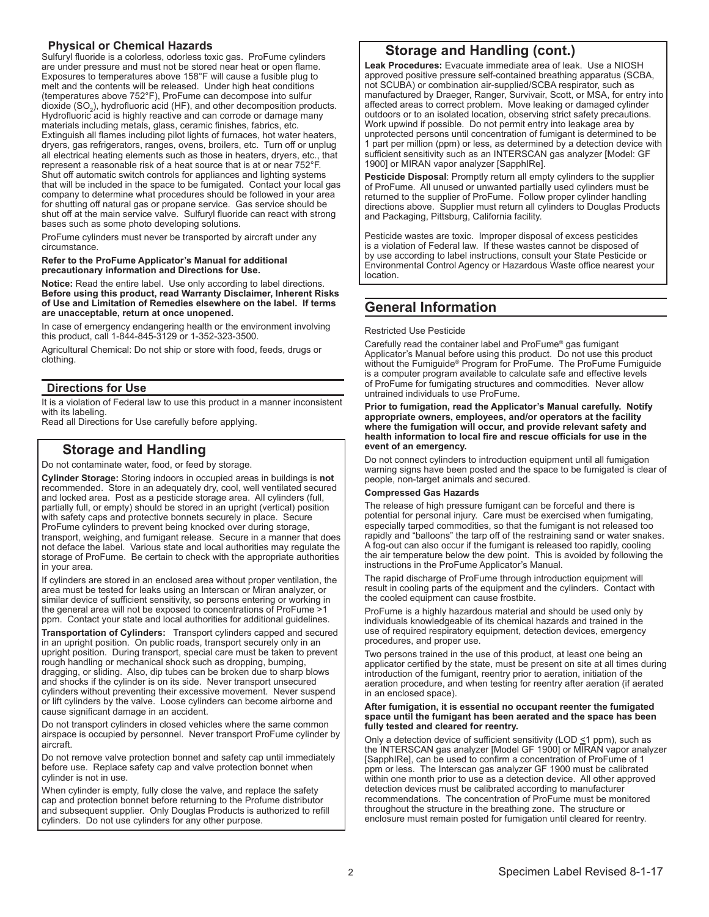#### **Physical or Chemical Hazards**

Sulfuryl fluoride is a colorless, odorless toxic gas. ProFume cylinders are under pressure and must not be stored near heat or open flame. Exposures to temperatures above 158°F will cause a fusible plug to melt and the contents will be released. Under high heat conditions (temperatures above 752°F), ProFume can decompose into sulfur dioxide (SO<sub>2</sub>), hydrofluoric acid (HF), and other decomposition products. Hydrofluoric acid is highly reactive and can corrode or damage many materials including metals, glass, ceramic finishes, fabrics, etc. Extinguish all flames including pilot lights of furnaces, hot water heaters, dryers, gas refrigerators, ranges, ovens, broilers, etc. Turn off or unplug all electrical heating elements such as those in heaters, dryers, etc., that represent a reasonable risk of a heat source that is at or near 752°F. Shut off automatic switch controls for appliances and lighting systems that will be included in the space to be fumigated. Contact your local gas company to determine what procedures should be followed in your area for shutting off natural gas or propane service. Gas service should be shut off at the main service valve. Sulfuryl fluoride can react with strong bases such as some photo developing solutions.

ProFume cylinders must never be transported by aircraft under any circumstance.

#### **Refer to the ProFume Applicator's Manual for additional precautionary information and Directions for Use.**

**Notice:** Read the entire label. Use only according to label directions. **Before using this product, read Warranty Disclaimer, Inherent Risks of Use and Limitation of Remedies elsewhere on the label. If terms are unacceptable, return at once unopened.**

In case of emergency endangering health or the environment involving this product, call 1-844-845-3129 or 1-352-323-3500.

Agricultural Chemical: Do not ship or store with food, feeds, drugs or clothing.

#### **Directions for Use**

It is a violation of Federal law to use this product in a manner inconsistent with its labeling.

Read all Directions for Use carefully before applying.

## **Storage and Handling**

Do not contaminate water, food, or feed by storage.

**Cylinder Storage:** Storing indoors in occupied areas in buildings is **not** recommended. Store in an adequately dry, cool, well ventilated secured and locked area. Post as a pesticide storage area. All cylinders (full, partially full, or empty) should be stored in an upright (vertical) position with safety caps and protective bonnets securely in place. Secure ProFume cylinders to prevent being knocked over during storage, transport, weighing, and fumigant release. Secure in a manner that does not deface the label. Various state and local authorities may regulate the storage of ProFume. Be certain to check with the appropriate authorities in your area.

If cylinders are stored in an enclosed area without proper ventilation, the area must be tested for leaks using an Interscan or Miran analyzer, or similar device of sufficient sensitivity, so persons entering or working in the general area will not be exposed to concentrations of ProFume >1 ppm. Contact your state and local authorities for additional guidelines.

**Transportation of Cylinders:** Transport cylinders capped and secured in an upright position. On public roads, transport securely only in an upright position. During transport, special care must be taken to prevent rough handling or mechanical shock such as dropping, bumping, dragging, or sliding. Also, dip tubes can be broken due to sharp blows and shocks if the cylinder is on its side. Never transport unsecured cylinders without preventing their excessive movement. Never suspend or lift cylinders by the valve. Loose cylinders can become airborne and cause significant damage in an accident.

Do not transport cylinders in closed vehicles where the same common airspace is occupied by personnel. Never transport ProFume cylinder by aircraft.

Do not remove valve protection bonnet and safety cap until immediately before use. Replace safety cap and valve protection bonnet when cylinder is not in use.

When cylinder is empty, fully close the valve, and replace the safety cap and protection bonnet before returning to the Profume distributor and subsequent supplier. Only Douglas Products is authorized to refill cylinders. Do not use cylinders for any other purpose.

## **Storage and Handling (cont.)**

**Leak Procedures:** Evacuate immediate area of leak. Use a NIOSH approved positive pressure self-contained breathing apparatus (SCBA, not SCUBA) or combination air-supplied/SCBA respirator, such as manufactured by Draeger, Ranger, Survivair, Scott, or MSA, for entry into affected areas to correct problem. Move leaking or damaged cylinder outdoors or to an isolated location, observing strict safety precautions. Work upwind if possible. Do not permit entry into leakage area by unprotected persons until concentration of fumigant is determined to be 1 part per million (ppm) or less, as determined by a detection device with sufficient sensitivity such as an INTERSCAN gas analyzer [Model: GF 1900] or MIRAN vapor analyzer [SapphIRe].

**Pesticide Disposal**: Promptly return all empty cylinders to the supplier of ProFume. All unused or unwanted partially used cylinders must be returned to the supplier of ProFume. Follow proper cylinder handling directions above. Supplier must return all cylinders to Douglas Products and Packaging, Pittsburg, California facility.

Pesticide wastes are toxic. Improper disposal of excess pesticides is a violation of Federal law. If these wastes cannot be disposed of by use according to label instructions, consult your State Pesticide or Environmental Control Agency or Hazardous Waste office nearest your location.

## **General Information**

#### Restricted Use Pesticide

Carefully read the container label and ProFume® gas fumigant Applicator's Manual before using this product. Do not use this product without the Fumiguide® Program for ProFume. The ProFume Fumiguide is a computer program available to calculate safe and effective levels of ProFume for fumigating structures and commodities. Never allow untrained individuals to use ProFume.

#### **Prior to fumigation, read the Applicator's Manual carefully. Notify appropriate owners, employees, and/or operators at the facility where the fumigation will occur, and provide relevant safety and health information to local fire and rescue officials for use in the event of an emergency.**

Do not connect cylinders to introduction equipment until all fumigation warning signs have been posted and the space to be fumigated is clear of people, non-target animals and secured.

#### **Compressed Gas Hazards**

The release of high pressure fumigant can be forceful and there is potential for personal injury. Care must be exercised when fumigating, especially tarped commodities, so that the fumigant is not released too rapidly and "balloons" the tarp off of the restraining sand or water snakes. A fog-out can also occur if the fumigant is released too rapidly, cooling the air temperature below the dew point. This is avoided by following the instructions in the ProFume Applicator's Manual.

The rapid discharge of ProFume through introduction equipment will result in cooling parts of the equipment and the cylinders. Contact with the cooled equipment can cause frostbite.

ProFume is a highly hazardous material and should be used only by individuals knowledgeable of its chemical hazards and trained in the use of required respiratory equipment, detection devices, emergency procedures, and proper use.

Two persons trained in the use of this product, at least one being an applicator certified by the state, must be present on site at all times during introduction of the fumigant, reentry prior to aeration, initiation of the aeration procedure, and when testing for reentry after aeration (if aerated in an enclosed space).

#### **After fumigation, it is essential no occupant reenter the fumigated space until the fumigant has been aerated and the space has been fully tested and cleared for reentry.**

Only a detection device of sufficient sensitivity (LOD <1 ppm), such as the INTERSCAN gas analyzer [Model GF 1900] or MIRAN vapor analyzer [SapphIRe], can be used to confirm a concentration of ProFume of 1 ppm or less. The Interscan gas analyzer GF 1900 must be calibrated within one month prior to use as a detection device. All other approved detection devices must be calibrated according to manufacturer recommendations. The concentration of ProFume must be monitored throughout the structure in the breathing zone. The structure or enclosure must remain posted for fumigation until cleared for reentry.